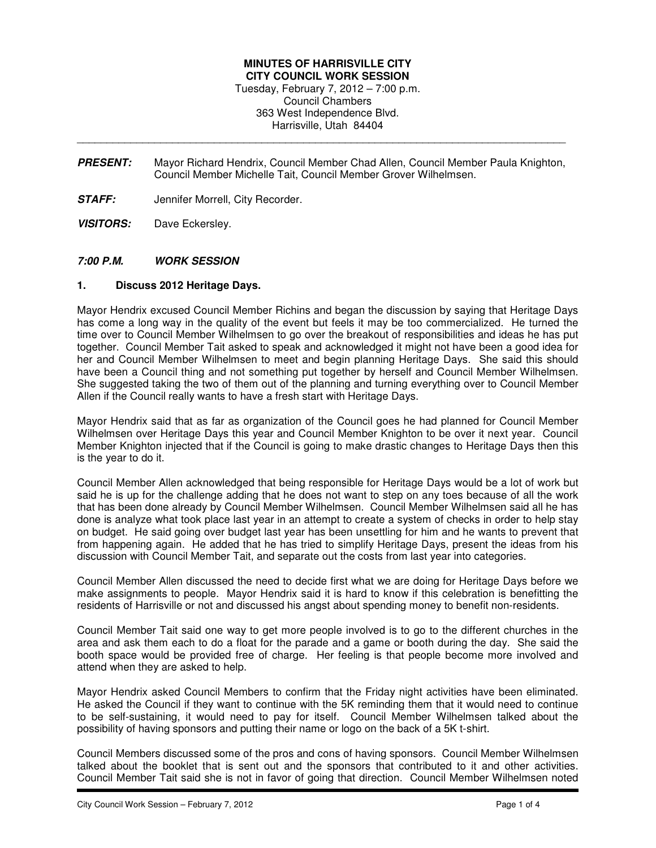## **MINUTES OF HARRISVILLE CITY CITY COUNCIL WORK SESSION**

Tuesday, February 7, 2012 – 7:00 p.m. Council Chambers 363 West Independence Blvd. Harrisville, Utah 84404

**PRESENT:** Mayor Richard Hendrix, Council Member Chad Allen, Council Member Paula Knighton, Council Member Michelle Tait, Council Member Grover Wilhelmsen.

\_\_\_\_\_\_\_\_\_\_\_\_\_\_\_\_\_\_\_\_\_\_\_\_\_\_\_\_\_\_\_\_\_\_\_\_\_\_\_\_\_\_\_\_\_\_\_\_\_\_\_\_\_\_\_\_\_\_\_\_\_\_\_\_\_\_\_\_\_\_\_\_\_\_\_\_\_\_\_\_\_\_

- **STAFF:** Jennifer Morrell, City Recorder.
- **VISITORS:** Dave Eckersley.

## **7:00 P.M. WORK SESSION**

## **1. Discuss 2012 Heritage Days.**

Mayor Hendrix excused Council Member Richins and began the discussion by saying that Heritage Days has come a long way in the quality of the event but feels it may be too commercialized. He turned the time over to Council Member Wilhelmsen to go over the breakout of responsibilities and ideas he has put together. Council Member Tait asked to speak and acknowledged it might not have been a good idea for her and Council Member Wilhelmsen to meet and begin planning Heritage Days. She said this should have been a Council thing and not something put together by herself and Council Member Wilhelmsen. She suggested taking the two of them out of the planning and turning everything over to Council Member Allen if the Council really wants to have a fresh start with Heritage Days.

Mayor Hendrix said that as far as organization of the Council goes he had planned for Council Member Wilhelmsen over Heritage Days this year and Council Member Knighton to be over it next year. Council Member Knighton injected that if the Council is going to make drastic changes to Heritage Days then this is the year to do it.

Council Member Allen acknowledged that being responsible for Heritage Days would be a lot of work but said he is up for the challenge adding that he does not want to step on any toes because of all the work that has been done already by Council Member Wilhelmsen. Council Member Wilhelmsen said all he has done is analyze what took place last year in an attempt to create a system of checks in order to help stay on budget. He said going over budget last year has been unsettling for him and he wants to prevent that from happening again. He added that he has tried to simplify Heritage Days, present the ideas from his discussion with Council Member Tait, and separate out the costs from last year into categories.

Council Member Allen discussed the need to decide first what we are doing for Heritage Days before we make assignments to people. Mayor Hendrix said it is hard to know if this celebration is benefitting the residents of Harrisville or not and discussed his angst about spending money to benefit non-residents.

Council Member Tait said one way to get more people involved is to go to the different churches in the area and ask them each to do a float for the parade and a game or booth during the day. She said the booth space would be provided free of charge. Her feeling is that people become more involved and attend when they are asked to help.

Mayor Hendrix asked Council Members to confirm that the Friday night activities have been eliminated. He asked the Council if they want to continue with the 5K reminding them that it would need to continue to be self-sustaining, it would need to pay for itself. Council Member Wilhelmsen talked about the possibility of having sponsors and putting their name or logo on the back of a 5K t-shirt.

Council Members discussed some of the pros and cons of having sponsors. Council Member Wilhelmsen talked about the booklet that is sent out and the sponsors that contributed to it and other activities. Council Member Tait said she is not in favor of going that direction. Council Member Wilhelmsen noted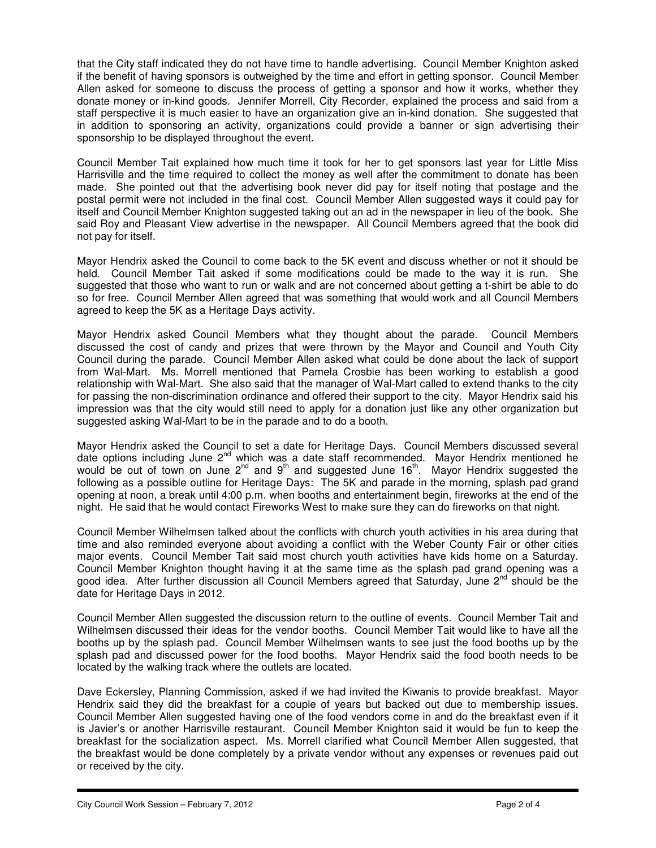that the City staff indicated they do not have time to handle advertising. Council Member Knighton asked if the benefit of having sponsors is outweighed by the time and effort in getting sponsor. Council Member Allen asked for someone to discuss the process of getting a sponsor and how it works, whether they donate money or in-kind goods. Jennifer Morrell, City Recorder, explained the process and said from a staff perspective it is much easier to have an organization give an in-kind donation. She suggested that in addition to sponsoring an activity, organizations could provide a banner or sign advertising their sponsorship to be displayed throughout the event.

Council Member Tait explained how much time it took for her to get sponsors last year for Little Miss Harrisville and the time required to collect the money as well after the commitment to donate has been made. She pointed out that the advertising book never did pay for itself noting that postage and the postal permit were not included in the final cost. Council Member Allen suggested ways it could pay for itself and Council Member Knighton suggested taking out an ad in the newspaper in lieu of the book. She said Roy and Pleasant View advertise in the newspaper. All Council Members agreed that the book did not pay for itself.

Mayor Hendrix asked the Council to come back to the 5K event and discuss whether or not it should be held. Council Member Tait asked if some modifications could be made to the way it is run. She suggested that those who want to run or walk and are not concerned about getting a t-shirt be able to do so for free. Council Member Allen agreed that was something that would work and all Council Members agreed to keep the 5K as a Heritage Days activity.

Mayor Hendrix asked Council Members what they thought about the parade. Council Members discussed the cost of candy and prizes that were thrown by the Mayor and Council and Youth City Council during the parade. Council Member Allen asked what could be done about the lack of support from Wal-Mart. Ms. Morrell mentioned that Pamela Crosbie has been working to establish a good relationship with Wal-Mart. She also said that the manager of Wal-Mart called to extend thanks to the city for passing the non-discrimination ordinance and offered their support to the city. Mayor Hendrix said his impression was that the city would still need to apply for a donation just like any other organization but suggested asking Wal-Mart to be in the parade and to do a booth.

Mayor Hendrix asked the Council to set a date for Heritage Days. Council Members discussed several date options including June 2<sup>nd</sup> which was a date staff recommended. Mayor Hendrix mentioned he would be out of town on June 2<sup>nd</sup> and 9<sup>th</sup> and suggested June 16<sup>th</sup>. Mayor Hendrix suggested the following as a possible outline for Heritage Days: The 5K and parade in the morning, splash pad grand opening at noon, a break until 4:00 p.m. when booths and entertainment begin, fireworks at the end of the night. He said that he would contact Fireworks West to make sure they can do fireworks on that night.

Council Member Wilhelmsen talked about the conflicts with church youth activities in his area during that time and also reminded everyone about avoiding a conflict with the Weber County Fair or other cities major events. Council Member Tait said most church youth activities have kids home on a Saturday. Council Member Knighton thought having it at the same time as the splash pad grand opening was a good idea. After further discussion all Council Members agreed that Saturday, June 2<sup>nd</sup> should be the date for Heritage Days in 2012.

Council Member Allen suggested the discussion return to the outline of events. Council Member Tait and Wilhelmsen discussed their ideas for the vendor booths. Council Member Tait would like to have all the booths up by the splash pad. Council Member Wilhelmsen wants to see just the food booths up by the splash pad and discussed power for the food booths. Mayor Hendrix said the food booth needs to be located by the walking track where the outlets are located.

Dave Eckersley, Planning Commission, asked if we had invited the Kiwanis to provide breakfast. Mayor Hendrix said they did the breakfast for a couple of years but backed out due to membership issues. Council Member Allen suggested having one of the food vendors come in and do the breakfast even if it is Javier's or another Harrisville restaurant. Council Member Knighton said it would be fun to keep the breakfast for the socialization aspect. Ms. Morrell clarified what Council Member Allen suggested, that the breakfast would be done completely by a private vendor without any expenses or revenues paid out or received by the city.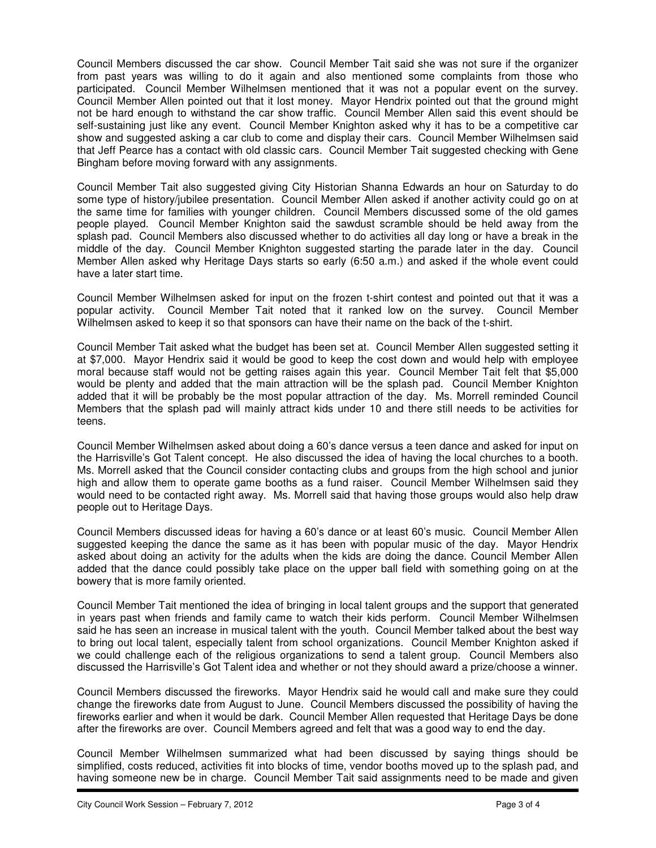Council Members discussed the car show. Council Member Tait said she was not sure if the organizer from past years was willing to do it again and also mentioned some complaints from those who participated. Council Member Wilhelmsen mentioned that it was not a popular event on the survey. Council Member Allen pointed out that it lost money. Mayor Hendrix pointed out that the ground might not be hard enough to withstand the car show traffic. Council Member Allen said this event should be self-sustaining just like any event. Council Member Knighton asked why it has to be a competitive car show and suggested asking a car club to come and display their cars. Council Member Wilhelmsen said that Jeff Pearce has a contact with old classic cars. Council Member Tait suggested checking with Gene Bingham before moving forward with any assignments.

Council Member Tait also suggested giving City Historian Shanna Edwards an hour on Saturday to do some type of history/jubilee presentation. Council Member Allen asked if another activity could go on at the same time for families with younger children. Council Members discussed some of the old games people played. Council Member Knighton said the sawdust scramble should be held away from the splash pad. Council Members also discussed whether to do activities all day long or have a break in the middle of the day. Council Member Knighton suggested starting the parade later in the day. Council Member Allen asked why Heritage Days starts so early (6:50 a.m.) and asked if the whole event could have a later start time.

Council Member Wilhelmsen asked for input on the frozen t-shirt contest and pointed out that it was a popular activity. Council Member Tait noted that it ranked low on the survey. Council Member Wilhelmsen asked to keep it so that sponsors can have their name on the back of the t-shirt.

Council Member Tait asked what the budget has been set at. Council Member Allen suggested setting it at \$7,000. Mayor Hendrix said it would be good to keep the cost down and would help with employee moral because staff would not be getting raises again this year. Council Member Tait felt that \$5,000 would be plenty and added that the main attraction will be the splash pad. Council Member Knighton added that it will be probably be the most popular attraction of the day. Ms. Morrell reminded Council Members that the splash pad will mainly attract kids under 10 and there still needs to be activities for teens.

Council Member Wilhelmsen asked about doing a 60's dance versus a teen dance and asked for input on the Harrisville's Got Talent concept. He also discussed the idea of having the local churches to a booth. Ms. Morrell asked that the Council consider contacting clubs and groups from the high school and junior high and allow them to operate game booths as a fund raiser. Council Member Wilhelmsen said they would need to be contacted right away. Ms. Morrell said that having those groups would also help draw people out to Heritage Days.

Council Members discussed ideas for having a 60's dance or at least 60's music. Council Member Allen suggested keeping the dance the same as it has been with popular music of the day. Mayor Hendrix asked about doing an activity for the adults when the kids are doing the dance. Council Member Allen added that the dance could possibly take place on the upper ball field with something going on at the bowery that is more family oriented.

Council Member Tait mentioned the idea of bringing in local talent groups and the support that generated in years past when friends and family came to watch their kids perform. Council Member Wilhelmsen said he has seen an increase in musical talent with the youth. Council Member talked about the best way to bring out local talent, especially talent from school organizations. Council Member Knighton asked if we could challenge each of the religious organizations to send a talent group. Council Members also discussed the Harrisville's Got Talent idea and whether or not they should award a prize/choose a winner.

Council Members discussed the fireworks. Mayor Hendrix said he would call and make sure they could change the fireworks date from August to June. Council Members discussed the possibility of having the fireworks earlier and when it would be dark. Council Member Allen requested that Heritage Days be done after the fireworks are over. Council Members agreed and felt that was a good way to end the day.

Council Member Wilhelmsen summarized what had been discussed by saying things should be simplified, costs reduced, activities fit into blocks of time, vendor booths moved up to the splash pad, and having someone new be in charge. Council Member Tait said assignments need to be made and given